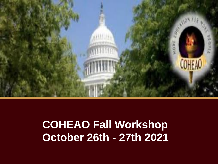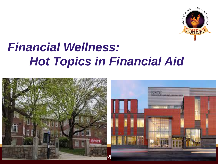

#### *Financial Wellness: Hot Topics in Financial Aid*

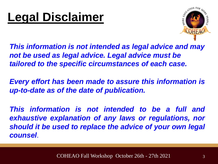

*This information is not intended as legal advice and may not be used as legal advice. Legal advice must be tailored to the specific circumstances of each case.*

*Every effort has been made to assure this information is up-to-date as of the date of publication.*

*This information is not intended to be a full and exhaustive explanation of any laws or regulations, nor should it be used to replace the advice of your own legal counsel*.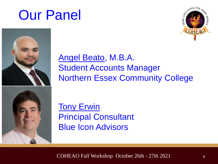## Our Panel





Angel Beato, M.B.A. Student Accounts Manager Northern Essex Community College

**Tony Erwin** Principal Consultant Blue Icon Advisors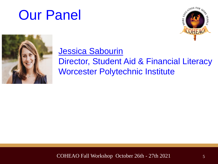## Our Panel





#### Jessica Sabourin Director, Student Aid & Financial Literacy

#### Worcester Polytechnic Institute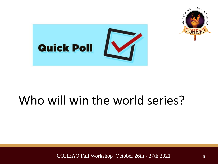



#### Who will win the world series?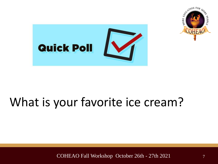



### What is your favorite ice cream?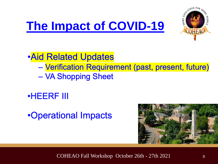

**Aid Related Updates** 

- Verification Requirement (past, present, future) - VA Shopping Sheet

**•HEERF III** 

•Operational Impacts

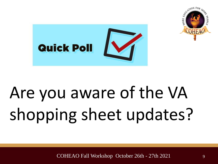



# Are you aware of the VA shopping sheet updates?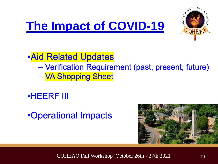

#### **Aid Related Updates**

- Verification Requirement (past, present, future) - VA Shopping Sheet
- **•HEERF III**

#### •Operational Impacts

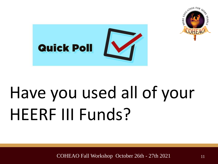



# Have you used all of your HEERF III Funds?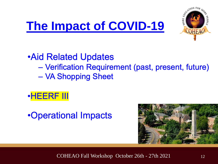

**Aid Related Updates** 

- Verification Requirement (past, present, future)
- VA Shopping Sheet



•Operational Impacts

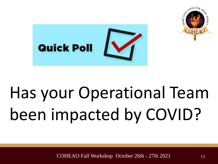



# Has your Operational Team been impacted by COVID?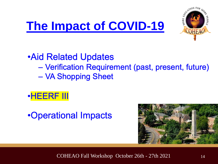

**Aid Related Updates** 

- Verification Requirement (past, present, future)
- VA Shopping Sheet



•Operational Impacts

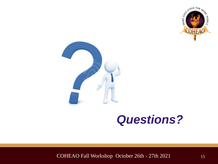



#### *Questions?*